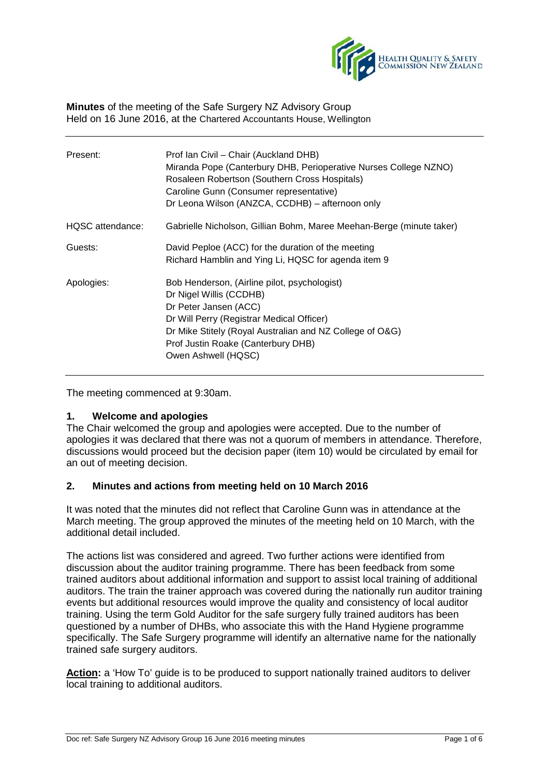

#### **Minutes** of the meeting of the Safe Surgery NZ Advisory Group Held on 16 June 2016, at the Chartered Accountants House, Wellington

| Present:         | Prof Ian Civil – Chair (Auckland DHB)<br>Miranda Pope (Canterbury DHB, Perioperative Nurses College NZNO)<br>Rosaleen Robertson (Southern Cross Hospitals)<br>Caroline Gunn (Consumer representative)<br>Dr Leona Wilson (ANZCA, CCDHB) - afternoon only               |
|------------------|------------------------------------------------------------------------------------------------------------------------------------------------------------------------------------------------------------------------------------------------------------------------|
| HQSC attendance: | Gabrielle Nicholson, Gillian Bohm, Maree Meehan-Berge (minute taker)                                                                                                                                                                                                   |
| Guests:          | David Peploe (ACC) for the duration of the meeting<br>Richard Hamblin and Ying Li, HQSC for agenda item 9                                                                                                                                                              |
| Apologies:       | Bob Henderson, (Airline pilot, psychologist)<br>Dr Nigel Willis (CCDHB)<br>Dr Peter Jansen (ACC)<br>Dr Will Perry (Registrar Medical Officer)<br>Dr Mike Stitely (Royal Australian and NZ College of O&G)<br>Prof Justin Roake (Canterbury DHB)<br>Owen Ashwell (HQSC) |

The meeting commenced at 9:30am.

## **1. Welcome and apologies**

The Chair welcomed the group and apologies were accepted. Due to the number of apologies it was declared that there was not a quorum of members in attendance. Therefore, discussions would proceed but the decision paper (item 10) would be circulated by email for an out of meeting decision.

## **2. Minutes and actions from meeting held on 10 March 2016**

It was noted that the minutes did not reflect that Caroline Gunn was in attendance at the March meeting. The group approved the minutes of the meeting held on 10 March, with the additional detail included.

The actions list was considered and agreed. Two further actions were identified from discussion about the auditor training programme. There has been feedback from some trained auditors about additional information and support to assist local training of additional auditors. The train the trainer approach was covered during the nationally run auditor training events but additional resources would improve the quality and consistency of local auditor training. Using the term Gold Auditor for the safe surgery fully trained auditors has been questioned by a number of DHBs, who associate this with the Hand Hygiene programme specifically. The Safe Surgery programme will identify an alternative name for the nationally trained safe surgery auditors.

Action: a 'How To' guide is to be produced to support nationally trained auditors to deliver local training to additional auditors.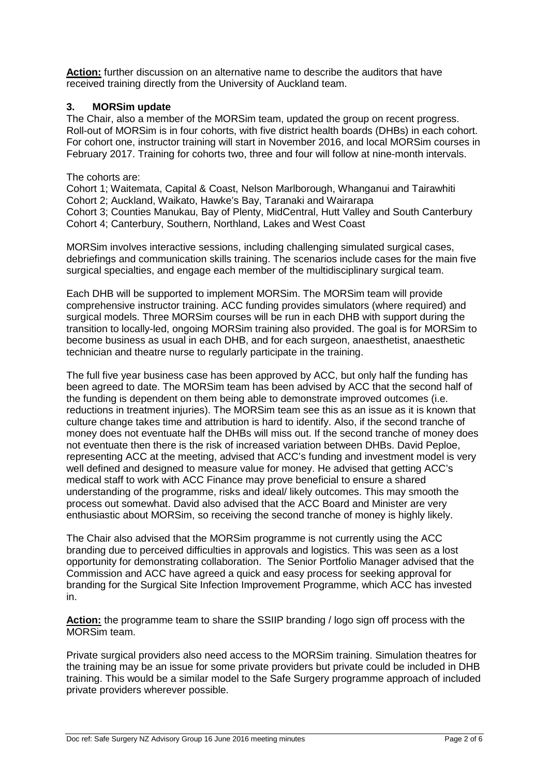**Action:** further discussion on an alternative name to describe the auditors that have received training directly from the University of Auckland team.

## **3. MORSim update**

The Chair, also a member of the MORSim team, updated the group on recent progress. Roll-out of MORSim is in four cohorts, with five district health boards (DHBs) in each cohort. For cohort one, instructor training will start in November 2016, and local MORSim courses in February 2017. Training for cohorts two, three and four will follow at nine-month intervals.

#### The cohorts are:

Cohort 1; Waitemata, Capital & Coast, Nelson Marlborough, Whanganui and Tairawhiti Cohort 2; Auckland, Waikato, Hawke's Bay, Taranaki and Wairarapa Cohort 3; Counties Manukau, Bay of Plenty, MidCentral, Hutt Valley and South Canterbury Cohort 4; Canterbury, Southern, Northland, Lakes and West Coast

MORSim involves interactive sessions, including challenging simulated surgical cases, debriefings and communication skills training. The scenarios include cases for the main five surgical specialties, and engage each member of the multidisciplinary surgical team.

Each DHB will be supported to implement MORSim. The MORSim team will provide comprehensive instructor training. ACC funding provides simulators (where required) and surgical models. Three MORSim courses will be run in each DHB with support during the transition to locally-led, ongoing MORSim training also provided. The goal is for MORSim to become business as usual in each DHB, and for each surgeon, anaesthetist, anaesthetic technician and theatre nurse to regularly participate in the training.

The full five year business case has been approved by ACC, but only half the funding has been agreed to date. The MORSim team has been advised by ACC that the second half of the funding is dependent on them being able to demonstrate improved outcomes (i.e. reductions in treatment injuries). The MORSim team see this as an issue as it is known that culture change takes time and attribution is hard to identify. Also, if the second tranche of money does not eventuate half the DHBs will miss out. If the second tranche of money does not eventuate then there is the risk of increased variation between DHBs. David Peploe, representing ACC at the meeting, advised that ACC's funding and investment model is very well defined and designed to measure value for money. He advised that getting ACC's medical staff to work with ACC Finance may prove beneficial to ensure a shared understanding of the programme, risks and ideal/ likely outcomes. This may smooth the process out somewhat. David also advised that the ACC Board and Minister are very enthusiastic about MORSim, so receiving the second tranche of money is highly likely.

The Chair also advised that the MORSim programme is not currently using the ACC branding due to perceived difficulties in approvals and logistics. This was seen as a lost opportunity for demonstrating collaboration. The Senior Portfolio Manager advised that the Commission and ACC have agreed a quick and easy process for seeking approval for branding for the Surgical Site Infection Improvement Programme, which ACC has invested in.

**Action:** the programme team to share the SSIIP branding / logo sign off process with the MORSim team.

Private surgical providers also need access to the MORSim training. Simulation theatres for the training may be an issue for some private providers but private could be included in DHB training. This would be a similar model to the Safe Surgery programme approach of included private providers wherever possible.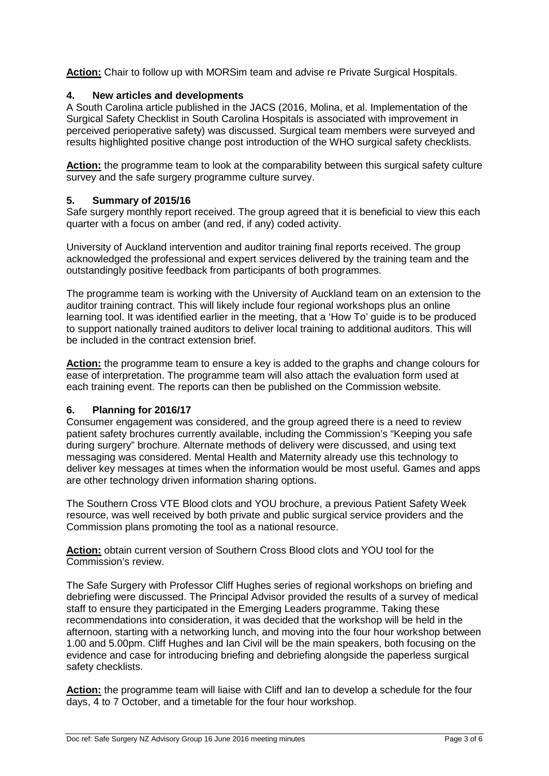**Action:** Chair to follow up with MORSim team and advise re Private Surgical Hospitals.

# **4. New articles and developments**

A South Carolina article published in the JACS (2016, Molina, et al. Implementation of the Surgical Safety Checklist in South Carolina Hospitals is associated with improvement in perceived perioperative safety) was discussed. Surgical team members were surveyed and results highlighted positive change post introduction of the WHO surgical safety checklists.

Action: the programme team to look at the comparability between this surgical safety culture survey and the safe surgery programme culture survey.

# **5. Summary of 2015/16**

Safe surgery monthly report received. The group agreed that it is beneficial to view this each quarter with a focus on amber (and red, if any) coded activity.

University of Auckland intervention and auditor training final reports received. The group acknowledged the professional and expert services delivered by the training team and the outstandingly positive feedback from participants of both programmes.

The programme team is working with the University of Auckland team on an extension to the auditor training contract. This will likely include four regional workshops plus an online learning tool. It was identified earlier in the meeting, that a 'How To' guide is to be produced to support nationally trained auditors to deliver local training to additional auditors. This will be included in the contract extension brief.

**Action:** the programme team to ensure a key is added to the graphs and change colours for ease of interpretation. The programme team will also attach the evaluation form used at each training event. The reports can then be published on the Commission website.

# **6. Planning for 2016/17**

Consumer engagement was considered, and the group agreed there is a need to review patient safety brochures currently available, including the Commission's "Keeping you safe during surgery" brochure. Alternate methods of delivery were discussed, and using text messaging was considered. Mental Health and Maternity already use this technology to deliver key messages at times when the information would be most useful. Games and apps are other technology driven information sharing options.

The Southern Cross VTE Blood clots and YOU brochure, a previous Patient Safety Week resource, was well received by both private and public surgical service providers and the Commission plans promoting the tool as a national resource.

**Action:** obtain current version of Southern Cross Blood clots and YOU tool for the Commission's review.

The Safe Surgery with Professor Cliff Hughes series of regional workshops on briefing and debriefing were discussed. The Principal Advisor provided the results of a survey of medical staff to ensure they participated in the Emerging Leaders programme. Taking these recommendations into consideration, it was decided that the workshop will be held in the afternoon, starting with a networking lunch, and moving into the four hour workshop between 1.00 and 5.00pm. Cliff Hughes and Ian Civil will be the main speakers, both focusing on the evidence and case for introducing briefing and debriefing alongside the paperless surgical safety checklists.

Action: the programme team will liaise with Cliff and Ian to develop a schedule for the four days, 4 to 7 October, and a timetable for the four hour workshop.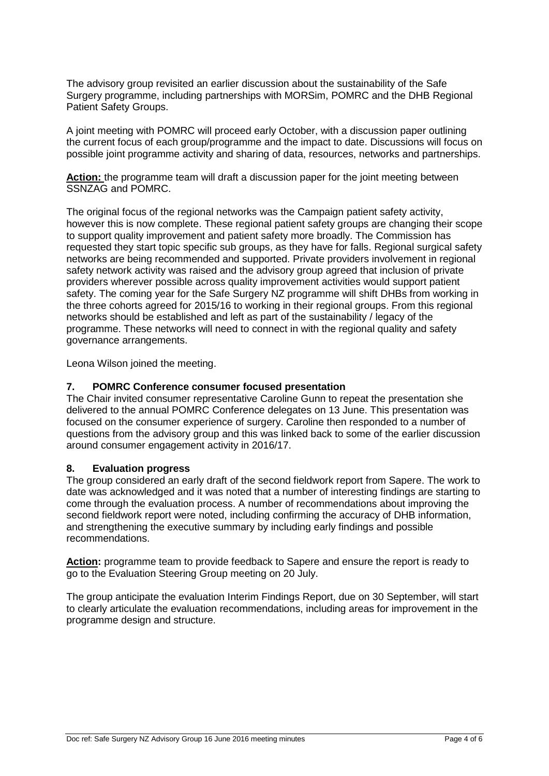The advisory group revisited an earlier discussion about the sustainability of the Safe Surgery programme, including partnerships with MORSim, POMRC and the DHB Regional Patient Safety Groups.

A joint meeting with POMRC will proceed early October, with a discussion paper outlining the current focus of each group/programme and the impact to date. Discussions will focus on possible joint programme activity and sharing of data, resources, networks and partnerships.

**Action:** the programme team will draft a discussion paper for the joint meeting between SSNZAG and POMRC.

The original focus of the regional networks was the Campaign patient safety activity, however this is now complete. These regional patient safety groups are changing their scope to support quality improvement and patient safety more broadly. The Commission has requested they start topic specific sub groups, as they have for falls. Regional surgical safety networks are being recommended and supported. Private providers involvement in regional safety network activity was raised and the advisory group agreed that inclusion of private providers wherever possible across quality improvement activities would support patient safety. The coming year for the Safe Surgery NZ programme will shift DHBs from working in the three cohorts agreed for 2015/16 to working in their regional groups. From this regional networks should be established and left as part of the sustainability / legacy of the programme. These networks will need to connect in with the regional quality and safety governance arrangements.

Leona Wilson joined the meeting.

#### **7. POMRC Conference consumer focused presentation**

The Chair invited consumer representative Caroline Gunn to repeat the presentation she delivered to the annual POMRC Conference delegates on 13 June. This presentation was focused on the consumer experience of surgery. Caroline then responded to a number of questions from the advisory group and this was linked back to some of the earlier discussion around consumer engagement activity in 2016/17.

## **8. Evaluation progress**

The group considered an early draft of the second fieldwork report from Sapere. The work to date was acknowledged and it was noted that a number of interesting findings are starting to come through the evaluation process. A number of recommendations about improving the second fieldwork report were noted, including confirming the accuracy of DHB information, and strengthening the executive summary by including early findings and possible recommendations.

**Action:** programme team to provide feedback to Sapere and ensure the report is ready to go to the Evaluation Steering Group meeting on 20 July.

The group anticipate the evaluation Interim Findings Report, due on 30 September, will start to clearly articulate the evaluation recommendations, including areas for improvement in the programme design and structure.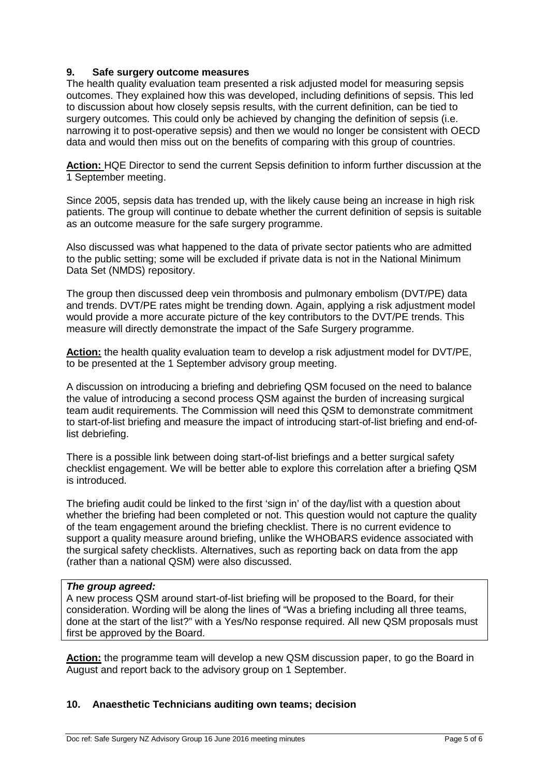## **9. Safe surgery outcome measures**

The health quality evaluation team presented a risk adjusted model for measuring sepsis outcomes. They explained how this was developed, including definitions of sepsis. This led to discussion about how closely sepsis results, with the current definition, can be tied to surgery outcomes. This could only be achieved by changing the definition of sepsis (i.e. narrowing it to post-operative sepsis) and then we would no longer be consistent with OECD data and would then miss out on the benefits of comparing with this group of countries.

**Action:** HQE Director to send the current Sepsis definition to inform further discussion at the 1 September meeting.

Since 2005, sepsis data has trended up, with the likely cause being an increase in high risk patients. The group will continue to debate whether the current definition of sepsis is suitable as an outcome measure for the safe surgery programme.

Also discussed was what happened to the data of private sector patients who are admitted to the public setting; some will be excluded if private data is not in the National Minimum Data Set (NMDS) repository.

The group then discussed deep vein thrombosis and pulmonary embolism (DVT/PE) data and trends. DVT/PE rates might be trending down. Again, applying a risk adjustment model would provide a more accurate picture of the key contributors to the DVT/PE trends. This measure will directly demonstrate the impact of the Safe Surgery programme.

**Action:** the health quality evaluation team to develop a risk adjustment model for DVT/PE, to be presented at the 1 September advisory group meeting.

A discussion on introducing a briefing and debriefing QSM focused on the need to balance the value of introducing a second process QSM against the burden of increasing surgical team audit requirements. The Commission will need this QSM to demonstrate commitment to start-of-list briefing and measure the impact of introducing start-of-list briefing and end-oflist debriefing.

There is a possible link between doing start-of-list briefings and a better surgical safety checklist engagement. We will be better able to explore this correlation after a briefing QSM is introduced.

The briefing audit could be linked to the first 'sign in' of the day/list with a question about whether the briefing had been completed or not. This question would not capture the quality of the team engagement around the briefing checklist. There is no current evidence to support a quality measure around briefing, unlike the WHOBARS evidence associated with the surgical safety checklists. Alternatives, such as reporting back on data from the app (rather than a national QSM) were also discussed.

## *The group agreed:*

A new process QSM around start-of-list briefing will be proposed to the Board, for their consideration. Wording will be along the lines of "Was a briefing including all three teams, done at the start of the list?" with a Yes/No response required. All new QSM proposals must first be approved by the Board.

**Action:** the programme team will develop a new QSM discussion paper, to go the Board in August and report back to the advisory group on 1 September.

# **10. Anaesthetic Technicians auditing own teams; decision**